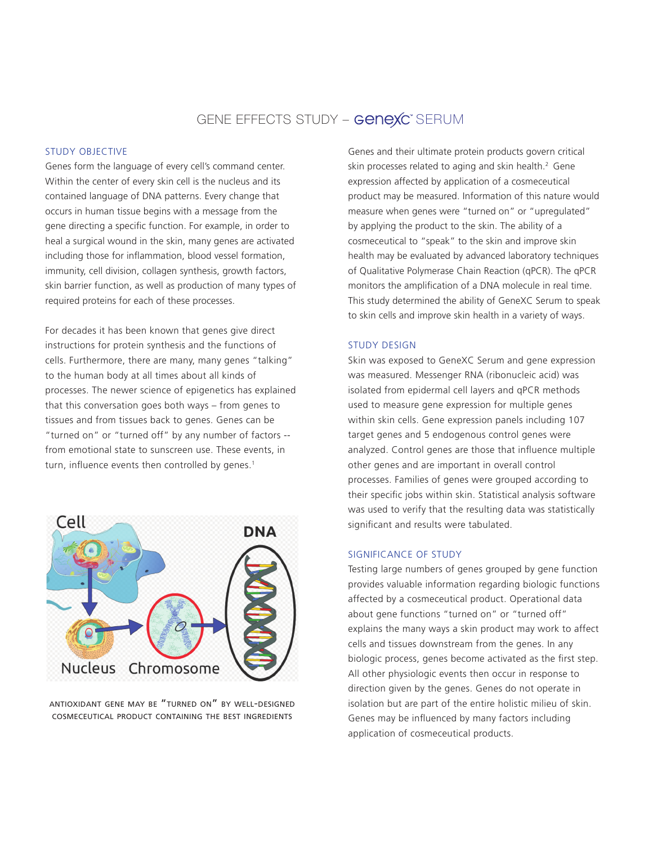# GENE EFFECTS STUDY – **GeneXC**" SERUM

#### STUDY OBJECTIVE

Genes form the language of every cell's command center. Within the center of every skin cell is the nucleus and its contained language of DNA patterns. Every change that occurs in human tissue begins with a message from the gene directing a specific function. For example, in order to heal a surgical wound in the skin, many genes are activated including those for inflammation, blood vessel formation, immunity, cell division, collagen synthesis, growth factors, skin barrier function, as well as production of many types of required proteins for each of these processes.

For decades it has been known that genes give direct instructions for protein synthesis and the functions of cells. Furthermore, there are many, many genes "talking" to the human body at all times about all kinds of processes. The newer science of epigenetics has explained that this conversation goes both ways – from genes to tissues and from tissues back to genes. Genes can be "turned on" or "turned off" by any number of factors - from emotional state to sunscreen use. These events, in turn, influence events then controlled by genes. $1$ 



ANTIOXIDANT GENE MAY BE "TURNED ON" BY WELL-DESIGNED COSMECEUTICAL PRODUCT CONTAINING THE BEST INGREDIENTS

Genes and their ultimate protein products govern critical skin processes related to aging and skin health.<sup>2</sup> Gene expression affected by application of a cosmeceutical product may be measured. Information of this nature would measure when genes were "turned on" or "upregulated" by applying the product to the skin. The ability of a cosmeceutical to "speak" to the skin and improve skin health may be evaluated by advanced laboratory techniques of Qualitative Polymerase Chain Reaction (qPCR). The qPCR monitors the amplification of a DNA molecule in real time. This study determined the ability of GeneXC Serum to speak to skin cells and improve skin health in a variety of ways.

#### STUDY DESIGN

Skin was exposed to GeneXC Serum and gene expression was measured. Messenger RNA (ribonucleic acid) was isolated from epidermal cell layers and qPCR methods used to measure gene expression for multiple genes within skin cells. Gene expression panels including 107 target genes and 5 endogenous control genes were analyzed. Control genes are those that influence multiple other genes and are important in overall control processes. Families of genes were grouped according to their specific jobs within skin. Statistical analysis software was used to verify that the resulting data was statistically significant and results were tabulated.

### SIGNIFICANCE OF STUDY

Testing large numbers of genes grouped by gene function provides valuable information regarding biologic functions affected by a cosmeceutical product. Operational data about gene functions "turned on" or "turned off" explains the many ways a skin product may work to affect cells and tissues downstream from the genes. In any biologic process, genes become activated as the first step. All other physiologic events then occur in response to direction given by the genes. Genes do not operate in isolation but are part of the entire holistic milieu of skin. Genes may be influenced by many factors including application of cosmeceutical products.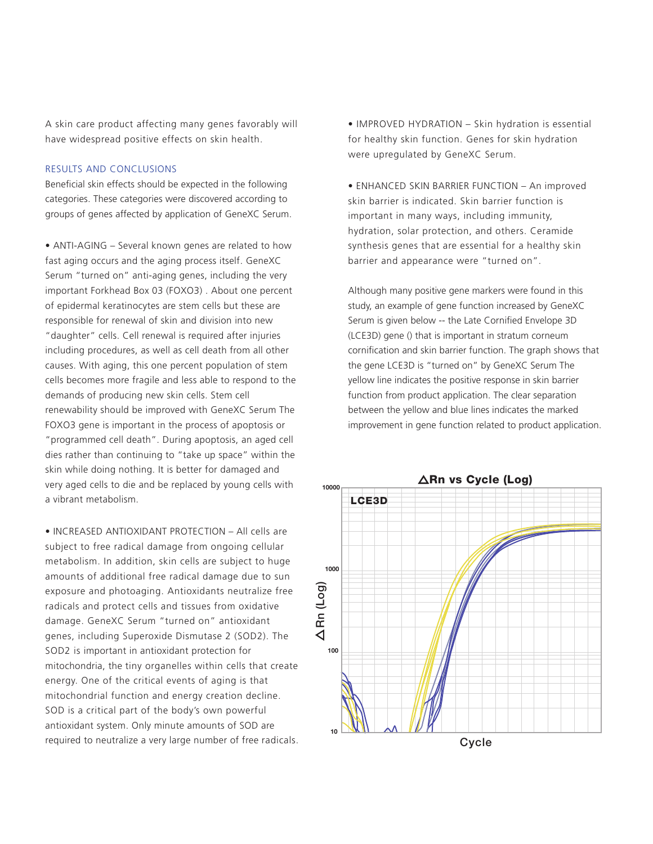A skin care product affecting many genes favorably will have widespread positive effects on skin health.

#### RESULTS AND CONCLUSIONS

Beneficial skin effects should be expected in the following categories. These categories were discovered according to groups of genes affected by application of GeneXC Serum.

• ANTI-AGING – Several known genes are related to how fast aging occurs and the aging process itself. GeneXC Serum "turned on" anti-aging genes, including the very important Forkhead Box 03 (FOXO3) . About one percent of epidermal keratinocytes are stem cells but these are responsible for renewal of skin and division into new "daughter" cells. Cell renewal is required after injuries including procedures, as well as cell death from all other causes. With aging, this one percent population of stem cells becomes more fragile and less able to respond to the demands of producing new skin cells. Stem cell renewability should be improved with GeneXC Serum The FOXO3 gene is important in the process of apoptosis or "programmed cell death". During apoptosis, an aged cell dies rather than continuing to "take up space" within the skin while doing nothing. It is better for damaged and very aged cells to die and be replaced by young cells with a vibrant metabolism.

• INCREASED ANTIOXIDANT PROTECTION – All cells are subject to free radical damage from ongoing cellular metabolism. In addition, skin cells are subject to huge amounts of additional free radical damage due to sun exposure and photoaging. Antioxidants neutralize free radicals and protect cells and tissues from oxidative damage. GeneXC Serum "turned on" antioxidant genes, including Superoxide Dismutase 2 (SOD2). The SOD2 is important in antioxidant protection for mitochondria, the tiny organelles within cells that create energy. One of the critical events of aging is that mitochondrial function and energy creation decline. SOD is a critical part of the body's own powerful antioxidant system. Only minute amounts of SOD are required to neutralize a very large number of free radicals. • IMPROVED HYDRATION – Skin hydration is essential for healthy skin function. Genes for skin hydration were upregulated by GeneXC Serum.

• ENHANCED SKIN BARRIER FUNCTION – An improved skin barrier is indicated. Skin barrier function is important in many ways, including immunity, hydration, solar protection, and others. Ceramide synthesis genes that are essential for a healthy skin barrier and appearance were "turned on".

Although many positive gene markers were found in this study, an example of gene function increased by GeneXC Serum is given below -- the Late Cornified Envelope 3D (LCE3D) gene () that is important in stratum corneum cornification and skin barrier function. The graph shows that the gene LCE3D is "turned on" by GeneXC Serum The yellow line indicates the positive response in skin barrier function from product application. The clear separation between the yellow and blue lines indicates the marked improvement in gene function related to product application.

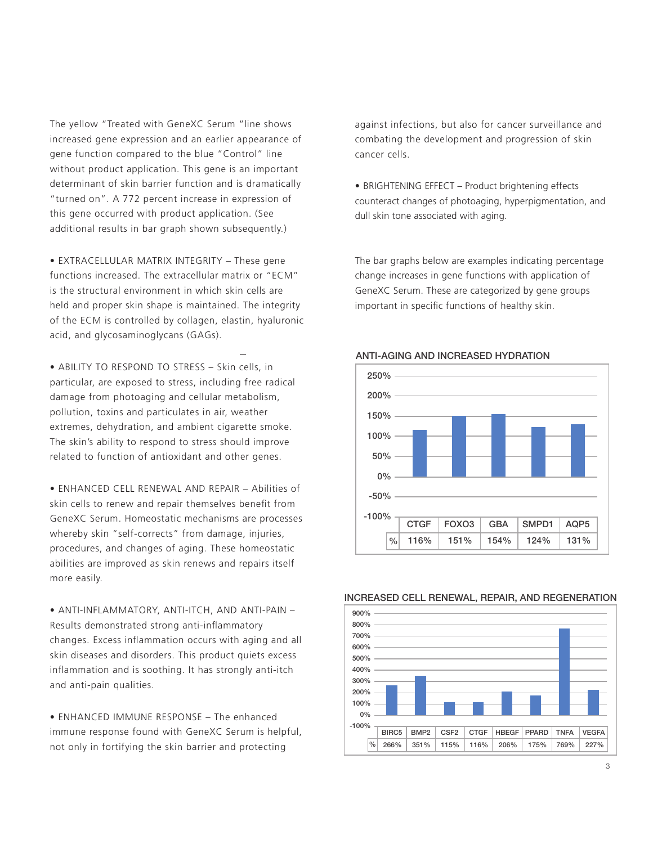The yellow "Treated with GeneXC Serum "line shows increased gene expression and an earlier appearance of gene function compared to the blue "Control" line without product application. This gene is an important determinant of skin barrier function and is dramatically "turned on". A 772 percent increase in expression of this gene occurred with product application. (See additional results in bar graph shown subsequently.)

• EXTRACELLULAR MATRIX INTEGRITY – These gene functions increased. The extracellular matrix or "ECM" is the structural environment in which skin cells are held and proper skin shape is maintained. The integrity of the ECM is controlled by collagen, elastin, hyaluronic acid, and glycosaminoglycans (GAGs).

• ABILITY TO RESPOND TO STRESS – Skin cells, in particular, are exposed to stress, including free radical damage from photoaging and cellular metabolism, pollution, toxins and particulates in air, weather extremes, dehydration, and ambient cigarette smoke. The skin's ability to respond to stress should improve related to function of antioxidant and other genes.

• ENHANCED CELL RENEWAL AND REPAIR – Abilities of skin cells to renew and repair themselves benefit from GeneXC Serum. Homeostatic mechanisms are processes whereby skin "self-corrects" from damage, injuries, procedures, and changes of aging. These homeostatic abilities are improved as skin renews and repairs itself more easily.

• ANTI-INFLAMMATORY, ANTI-ITCH, AND ANTI-PAIN – Results demonstrated strong anti-inflammatory changes. Excess inflammation occurs with aging and all skin diseases and disorders. This product quiets excess inflammation and is soothing. It has strongly anti-itch and anti-pain qualities.

• ENHANCED IMMUNE RESPONSE – The enhanced immune response found with GeneXC Serum is helpful, not only in fortifying the skin barrier and protecting

against infections, but also for cancer surveillance and combating the development and progression of skin cancer cells.

• BRIGHTENING EFFECT – Product brightening effects counteract changes of photoaging, hyperpigmentation, and dull skin tone associated with aging.

The bar graphs below are examples indicating percentage change increases in gene functions with application of GeneXC Serum. These are categorized by gene groups important in specific functions of healthy skin.



#### ANTI-AGING AND INCREASED HYDRATION



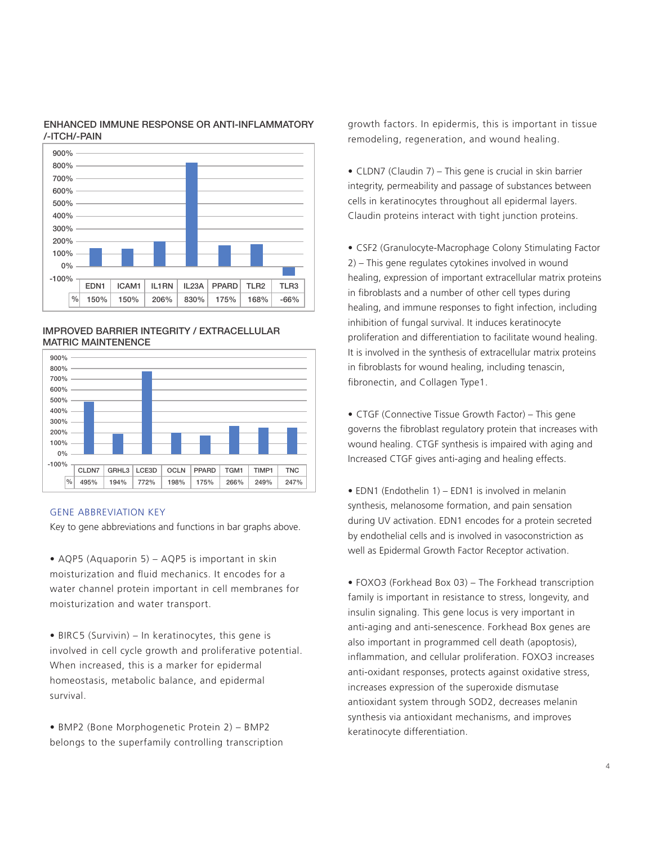



IMPROVED BARRIER INTEGRITY / EXTRACELLULAR MATRIC MAINTENENCE



#### GENE ABBREVIATION KEY

Key to gene abbreviations and functions in bar graphs above.

• AQP5 (Aquaporin 5) – AQP5 is important in skin moisturization and fluid mechanics. It encodes for a water channel protein important in cell membranes for moisturization and water transport.

• BIRC5 (Survivin) – In keratinocytes, this gene is involved in cell cycle growth and proliferative potential. When increased, this is a marker for epidermal homeostasis, metabolic balance, and epidermal survival.

• BMP2 (Bone Morphogenetic Protein 2) – BMP2 belongs to the superfamily controlling transcription growth factors. In epidermis, this is important in tissue remodeling, regeneration, and wound healing.

• CLDN7 (Claudin 7) – This gene is crucial in skin barrier integrity, permeability and passage of substances between cells in keratinocytes throughout all epidermal layers. Claudin proteins interact with tight junction proteins.

• CSF2 (Granulocyte-Macrophage Colony Stimulating Factor 2) – This gene regulates cytokines involved in wound healing, expression of important extracellular matrix proteins in fibroblasts and a number of other cell types during healing, and immune responses to fight infection, including inhibition of fungal survival. It induces keratinocyte proliferation and differentiation to facilitate wound healing. It is involved in the synthesis of extracellular matrix proteins in fibroblasts for wound healing, including tenascin, fibronectin, and Collagen Type1.

• CTGF (Connective Tissue Growth Factor) – This gene governs the fibroblast regulatory protein that increases with wound healing. CTGF synthesis is impaired with aging and Increased CTGF gives anti-aging and healing effects.

• EDN1 (Endothelin 1) – EDN1 is involved in melanin synthesis, melanosome formation, and pain sensation during UV activation. EDN1 encodes for a protein secreted by endothelial cells and is involved in vasoconstriction as well as Epidermal Growth Factor Receptor activation.

• FOXO3 (Forkhead Box 03) – The Forkhead transcription family is important in resistance to stress, longevity, and insulin signaling. This gene locus is very important in anti-aging and anti-senescence. Forkhead Box genes are also important in programmed cell death (apoptosis), inflammation, and cellular proliferation. FOXO3 increases anti-oxidant responses, protects against oxidative stress, increases expression of the superoxide dismutase antioxidant system through SOD2, decreases melanin synthesis via antioxidant mechanisms, and improves keratinocyte differentiation.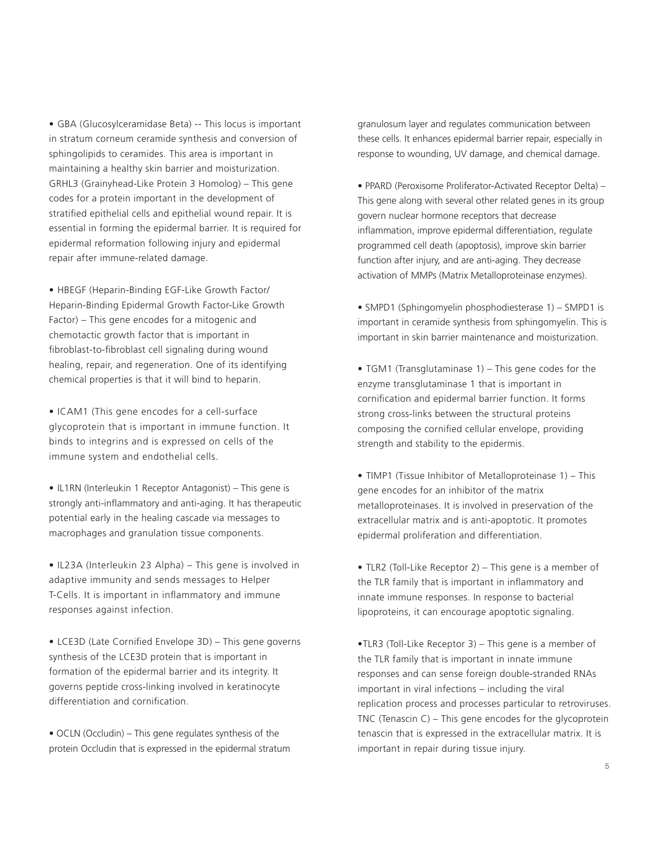• GBA (Glucosylceramidase Beta) -- This locus is important in stratum corneum ceramide synthesis and conversion of sphingolipids to ceramides. This area is important in maintaining a healthy skin barrier and moisturization. GRHL3 (Grainyhead-Like Protein 3 Homolog) – This gene codes for a protein important in the development of stratified epithelial cells and epithelial wound repair. It is essential in forming the epidermal barrier. It is required for epidermal reformation following injury and epidermal repair after immune-related damage.

• HBEGF (Heparin-Binding EGF-Like Growth Factor/ Heparin-Binding Epidermal Growth Factor-Like Growth Factor) – This gene encodes for a mitogenic and chemotactic growth factor that is important in fibroblast-to-fibroblast cell signaling during wound healing, repair, and regeneration. One of its identifying chemical properties is that it will bind to heparin.

• ICAM1 (This gene encodes for a cell-surface glycoprotein that is important in immune function. It binds to integrins and is expressed on cells of the immune system and endothelial cells.

• IL1RN (Interleukin 1 Receptor Antagonist) – This gene is strongly anti-inflammatory and anti-aging. It has therapeutic potential early in the healing cascade via messages to macrophages and granulation tissue components.

• IL23A (Interleukin 23 Alpha) – This gene is involved in adaptive immunity and sends messages to Helper T-Cells. It is important in inflammatory and immune responses against infection.

• LCE3D (Late Cornified Envelope 3D) – This gene governs synthesis of the LCE3D protein that is important in formation of the epidermal barrier and its integrity. It governs peptide cross-linking involved in keratinocyte differentiation and cornification.

• OCLN (Occludin) – This gene regulates synthesis of the protein Occludin that is expressed in the epidermal stratum granulosum layer and regulates communication between these cells. It enhances epidermal barrier repair, especially in response to wounding, UV damage, and chemical damage.

• PPARD (Peroxisome Proliferator-Activated Receptor Delta) – This gene along with several other related genes in its group govern nuclear hormone receptors that decrease inflammation, improve epidermal differentiation, regulate programmed cell death (apoptosis), improve skin barrier function after injury, and are anti-aging. They decrease activation of MMPs (Matrix Metalloproteinase enzymes).

• SMPD1 (Sphingomyelin phosphodiesterase 1) – SMPD1 is important in ceramide synthesis from sphingomyelin. This is important in skin barrier maintenance and moisturization.

• TGM1 (Transglutaminase 1) – This gene codes for the enzyme transglutaminase 1 that is important in cornification and epidermal barrier function. It forms strong cross-links between the structural proteins composing the cornified cellular envelope, providing strength and stability to the epidermis.

• TIMP1 (Tissue Inhibitor of Metalloproteinase 1) – This gene encodes for an inhibitor of the matrix metalloproteinases. It is involved in preservation of the extracellular matrix and is anti-apoptotic. It promotes epidermal proliferation and differentiation.

• TLR2 (Toll-Like Receptor 2) – This gene is a member of the TLR family that is important in inflammatory and innate immune responses. In response to bacterial lipoproteins, it can encourage apoptotic signaling.

•TLR3 (Toll-Like Receptor 3) – This gene is a member of the TLR family that is important in innate immune responses and can sense foreign double-stranded RNAs important in viral infections – including the viral replication process and processes particular to retroviruses. TNC (Tenascin C) – This gene encodes for the glycoprotein tenascin that is expressed in the extracellular matrix. It is important in repair during tissue injury.